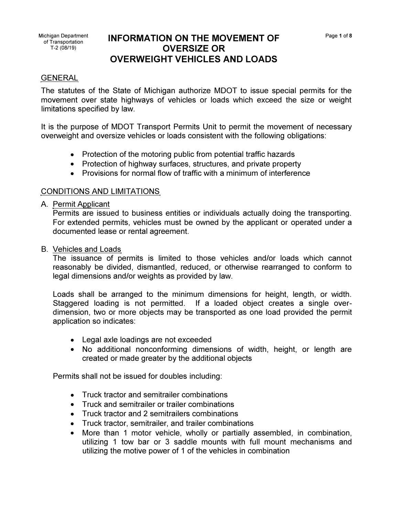# Michigan Department **INFORMATION ON THE MOVEMENT OF** Page 1 of 8 **Page 1 of 8**<br>
T-2 (08/19) **OVERSIZE OR OVERSIZE OR OVERWEIGHT VEHICLES AND LOADS**

# GENERAL

The statutes of the State of Michigan authorize MOOT to issue special permits for the movement over state highways of vehicles or loads which exceed the size or weight limitations specified by law.

It is the purpose of MOOT Transport Permits Unit to permit the movement of necessary overweight and oversize vehicles or loads consistent with the following obligations:

- Protection of the motoring public from potential traffic hazards
- Protection of highway surfaces, structures, and private property
- Provisions for normal flow of traffic with a minimum of interference

### CONDITIONS AND LIMITATIONS

A. Permit Applicant

Permits are issued to business entities or individuals actually doing the transporting. For extended permits, vehicles must be owned by the applicant or operated under a documented lease or rental agreement.

B. Vehicles and Loads

The issuance of permits is limited to those vehicles and/or loads which cannot reasonably be divided, dismantled, reduced, or otherwise rearranged to conform to legal dimensions and/or weights as provided by law.

Loads shall be arranged to the minimum dimensions for height, length, or width. Staggered loading is not permitted. If a loaded object creates a single overdimension, two or more objects may be transported as one load provided the permit application so indicates:

- Legal axle loadings are not exceeded
- No additional nonconforming dimensions of width, height, or length are created or made greater by the additional objects

Permits shall not be issued for doubles including:

- Truck tractor and semitrailer combinations
- Truck and semitrailer or trailer combinations
- Truck tractor and 2 semitrailers combinations
- Truck tractor, semitrailer, and trailer combinations
- More than 1 motor vehicle, wholly or partially assembled, in combination, utilizing 1 tow bar or 3 saddle mounts with full mount mechanisms and utilizing the motive power of 1 of the vehicles in combination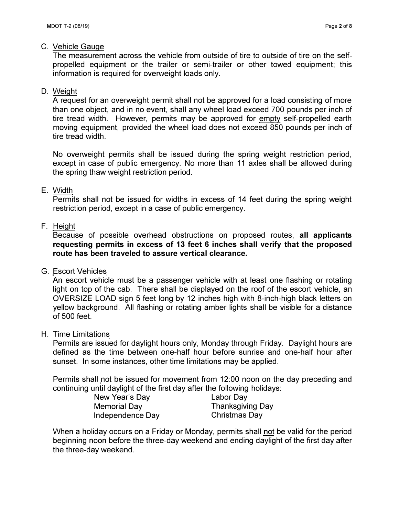#### C. Vehicle Gauge

The measurement across the vehicle from outside of tire to outside of tire on the selfpropelled equipment or the trailer or semi-trailer or other towed equipment; this information is required for overweight loads only.

#### D. Weight

A request for an overweight permit shall not be approved for a load consisting of more than one object, and in no event, shall any wheel load exceed 700 pounds per inch of tire tread width. However, permits may be approved for empty self-propelled earth moving equipment, provided the wheel load does not exceed 850 pounds per inch of tire tread width.

No overweight permits shall be issued during the spring weight restriction period, except in case of public emergency. No more than 11 axles shall be allowed during the spring thaw weight restriction period.

#### E. Width

Permits shall not be issued for widths in excess of 14 feet during the spring weight restriction period, except in a case of public emergency.

## F. Height

Because of possible overhead obstructions on proposed routes, **all applicants requesting permits in excess of 13 feet 6 inches shall verify that the proposed route has been traveled to assure vertical clearance.** 

#### G. Escort Vehicles

An escort vehicle must be a passenger vehicle with at least one flashing or rotating light on top of the cab. There shall be displayed on the roof of the escort vehicle, an OVERSIZE LOAD sign 5 feet long by 12 inches high with 8-inch-high black letters on yellow background. All flashing or rotating amber lights shall be visible for a distance of 500 feet.

#### H. Time Limitations

Permits are issued for daylight hours only, Monday through Friday. Daylight hours are defined as the time between one-half hour before sunrise and one-half hour after sunset. In some instances, other time limitations may be applied.

Permits shall not be issued for movement from 12:00 noon on the day preceding and continuing until daylight of the first day after the following holidays:

| New Year's Day   | Labor Day               |
|------------------|-------------------------|
| Memorial Day     | <b>Thanksgiving Day</b> |
| Independence Day | Christmas Day           |

When a holiday occurs on a Friday or Monday, permits shall not be valid for the period beginning noon before the three-day weekend and ending daylight of the first day after the three-day weekend.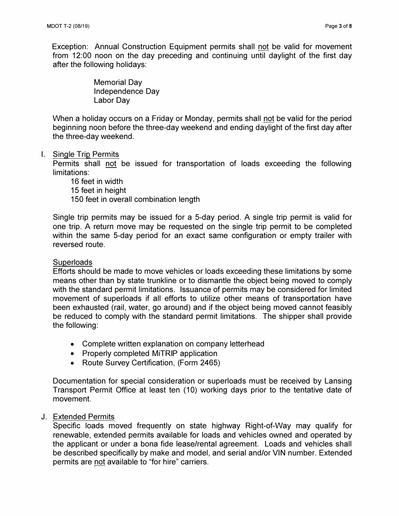Exception: Annual Construction Equipment permits shall not be valid for movement from 12:00 noon on the day preceding and continuing until daylight of the first day after the following holidays:

> Memorial Day Independence Day Labor Day

When a holiday occurs on a Friday or Monday, permits shall not be valid for the period beginning noon before the three-day weekend and ending daylight of the first day after the three-day weekend.

#### I. Single Trip Permits

Permits shall not be issued for transportation of loads exceeding the following limitations:

16 feet in width 15 feet in height 150 feet in overall combination length

Single trip permits may be issued for a 5-day period. A single trip permit is valid for one trip. A return move may be requested on the single trip permit to be completed within the same 5-day period for an exact same configuration or empty trailer with reversed route.

#### **Superloads**

Efforts should be made to move vehicles or loads exceeding these limitations by some means other than by state trunkline or to dismantle the object being moved to comply with the standard permit limitations. Issuance of permits may be considered for limited movement of superloads if all efforts to utilize other means of transportation have been exhausted (rail, water, go around) and if the object being moved cannot feasibly be reduced to comply with the standard permit limitations. The shipper shall provide the following:

- Complete written explanation on company letterhead
- Properly completed MiTRIP application
- Route Survey Certification, (Form 2465)

Documentation for special consideration or superloads must be received by Lansing Transport Permit Office at least ten (10) working days prior to the tentative date of movement.

#### J. Extended Permits

Specific loads moved frequently on state highway Right-of-Way may qualify for renewable, extended permits available for loads and vehicles owned and operated by the applicant or under a bona fide lease/rental agreement. Loads and vehicles shall be described specifically by make and model, and serial and/or VIN number. Extended permits are not available to "for hire" carriers.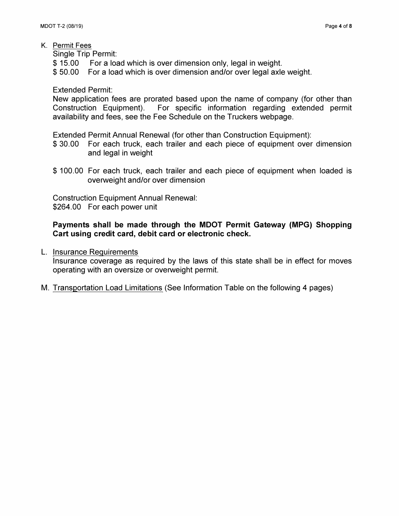Single Trip Permit:

\$15.00 For a load which is over dimension only, legal in weight.

\$ 50.00 For a load which is over dimension and/or over legal axle weight.

Extended Permit:

New application fees are prorated based upon the name of company (for other than Construction Equipment). For specific information regarding extended permit availability and fees, see the Fee Schedule on the Truckers webpage.

Extended Permit Annual Renewal (for other than Construction Equipment):

- \$ 30.00 For each truck, each trailer and each piece of equipment over dimension and legal in weight
- \$ 100.00 For each truck, each trailer and each piece of equipment when loaded is overweight and/or over dimension

Construction Equipment Annual Renewal: \$264.00 For each power unit

## **Payments shall be made through the MDOT Permit Gateway (MPG) Shopping Cart using credit card, debit card or electronic check.**

L. Insurance Requirements

Insurance coverage as required by the laws of this state shall be in effect for moves operating with an oversize or overweight permit.

M. Transportation Load Limitations (See Information Table on the following 4 pages)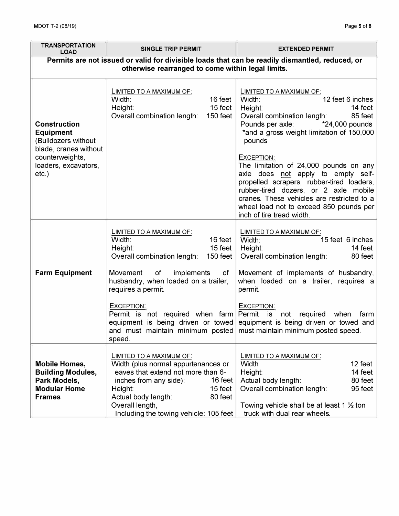| <b>TRANSPORTATION</b><br><b>LOAD</b>                                                                                                                                                                                                                                    | <b>SINGLE TRIP PERMIT</b>                                                                                                                                                                                                                                       | <b>EXTENDED PERMIT</b>                                                                                                                                                                                                                                                                                 |  |
|-------------------------------------------------------------------------------------------------------------------------------------------------------------------------------------------------------------------------------------------------------------------------|-----------------------------------------------------------------------------------------------------------------------------------------------------------------------------------------------------------------------------------------------------------------|--------------------------------------------------------------------------------------------------------------------------------------------------------------------------------------------------------------------------------------------------------------------------------------------------------|--|
| Permits are not issued or valid for divisible loads that can be readily dismantled, reduced, or<br>otherwise rearranged to come within legal limits.                                                                                                                    |                                                                                                                                                                                                                                                                 |                                                                                                                                                                                                                                                                                                        |  |
|                                                                                                                                                                                                                                                                         |                                                                                                                                                                                                                                                                 |                                                                                                                                                                                                                                                                                                        |  |
| <b>Construction</b><br><b>Equipment</b><br>(Bulldozers without<br>blade, cranes without<br>counterweights,<br>loaders, excavators,<br>$etc.$ )                                                                                                                          | LIMITED TO A MAXIMUM OF:<br>Width:<br>16 feet<br>15 feet<br>Height:<br>Overall combination length:<br>150 feet                                                                                                                                                  | LIMITED TO A MAXIMUM OF:<br>12 feet 6 inches<br>Width:<br>14 feet<br>Height:<br>Overall combination length:<br>85 feet<br>Pounds per axle:<br>*24,000 pounds<br>*and a gross weight limitation of 150,000<br>pounds                                                                                    |  |
|                                                                                                                                                                                                                                                                         |                                                                                                                                                                                                                                                                 | EXCEPTION:<br>The limitation of 24,000 pounds on any<br>axle does not apply to empty self-<br>propelled scrapers, rubber-tired loaders,<br>rubber-tired dozers, or 2 axle mobile<br>cranes. These vehicles are restricted to a<br>wheel load not to exceed 850 pounds per<br>inch of tire tread width. |  |
|                                                                                                                                                                                                                                                                         | LIMITED TO A MAXIMUM OF:<br>16 feet<br>Width:<br>15 feet<br>Height:<br>Overall combination length:<br>150 feet                                                                                                                                                  | LIMITED TO A MAXIMUM OF:<br>15 feet 6 inches<br>Width:<br>Height:<br>14 feet<br>Overall combination length:<br>80 feet                                                                                                                                                                                 |  |
| <b>Farm Equipment</b><br>of<br>Movement<br>implements<br>of<br>husbandry, when loaded on a trailer,<br>requires a permit.<br>EXCEPTION:<br>Permit is not required when farm Permit is<br>and must maintain minimum posted must maintain minimum posted speed.<br>speed. |                                                                                                                                                                                                                                                                 | Movement of implements of husbandry,<br>when loaded on a trailer, requires a<br>permit.                                                                                                                                                                                                                |  |
|                                                                                                                                                                                                                                                                         |                                                                                                                                                                                                                                                                 | EXCEPTION:<br>not required<br>when<br>farm<br>equipment is being driven or towed equipment is being driven or towed and                                                                                                                                                                                |  |
| <b>Mobile Homes,</b><br><b>Building Modules,</b><br>Park Models,<br><b>Modular Home</b><br><b>Frames</b>                                                                                                                                                                | LIMITED TO A MAXIMUM OF:<br>Width (plus normal appurtenances or<br>eaves that extend not more than 6-<br>inches from any side):<br>16 feet<br>15 feet<br>Height:<br>Actual body length:<br>80 feet<br>Overall length,<br>Including the towing vehicle: 105 feet | LIMITED TO A MAXIMUM OF:<br>Width<br>12 feet<br>14 feet<br>Height:<br>80 feet<br>Actual body length:<br>Overall combination length:<br>95 feet<br>Towing vehicle shall be at least 1 $\frac{1}{2}$ ton<br>truck with dual rear wheels.                                                                 |  |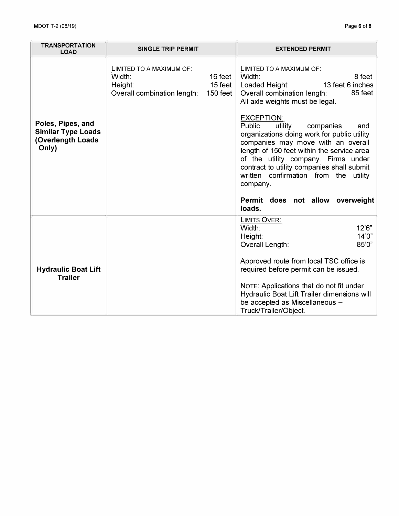| <b>TRANSPORTATION</b><br><b>LOAD</b>                                         | <b>SINGLE TRIP PERMIT</b>                                                    |                                | <b>EXTENDED PERMIT</b>                                                                                                                                                                                                                                                                                                                                                      |
|------------------------------------------------------------------------------|------------------------------------------------------------------------------|--------------------------------|-----------------------------------------------------------------------------------------------------------------------------------------------------------------------------------------------------------------------------------------------------------------------------------------------------------------------------------------------------------------------------|
|                                                                              | LIMITED TO A MAXIMUM OF:<br>Width:<br>Height:<br>Overall combination length: | 16 feet<br>15 feet<br>150 feet | LIMITED TO A MAXIMUM OF:<br>8 feet<br>Width:<br>13 feet 6 inches<br>Loaded Height:<br>85 feet<br>Overall combination length:<br>All axle weights must be legal.                                                                                                                                                                                                             |
| Poles, Pipes, and<br><b>Similar Type Loads</b><br>(Overlength Loads<br>Only) |                                                                              |                                | <b>EXCEPTION:</b><br>Public<br>utility<br>companies<br>and<br>organizations doing work for public utility<br>companies may move with an overall<br>length of 150 feet within the service area<br>of the utility company. Firms under<br>contract to utility companies shall submit<br>written confirmation from the utility<br>company.<br>Permit does not allow overweight |
|                                                                              |                                                                              |                                | loads.                                                                                                                                                                                                                                                                                                                                                                      |
|                                                                              |                                                                              |                                | LIMITS OVER:<br>Width:<br>12'6"<br>14'0"<br>Height:<br>85'0"<br>Overall Length:                                                                                                                                                                                                                                                                                             |
| <b>Hydraulic Boat Lift</b><br><b>Trailer</b>                                 |                                                                              |                                | Approved route from local TSC office is<br>required before permit can be issued.                                                                                                                                                                                                                                                                                            |
|                                                                              |                                                                              |                                | NOTE: Applications that do not fit under<br>Hydraulic Boat Lift Trailer dimensions will<br>be accepted as Miscellaneous -<br>Truck/Trailer/Object.                                                                                                                                                                                                                          |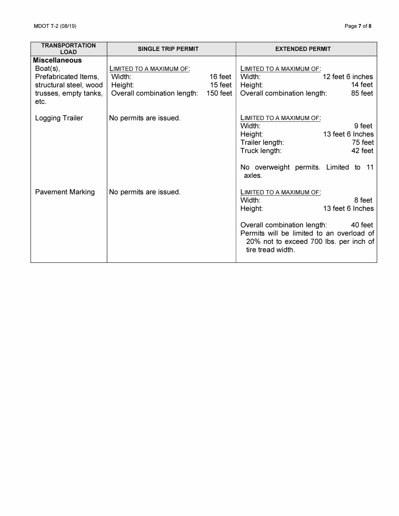| <b>TRANSPORTATION</b><br><b>LOAD</b>                                                                                   | <b>SINGLE TRIP PERMIT</b>                                                    |                                | <b>EXTENDED PERMIT</b>                                                                                                                                                                                                            |
|------------------------------------------------------------------------------------------------------------------------|------------------------------------------------------------------------------|--------------------------------|-----------------------------------------------------------------------------------------------------------------------------------------------------------------------------------------------------------------------------------|
| <b>Miscellaneous</b><br>$Boat(s)$ ,<br>Prefabricated Items,<br>structural steel, wood<br>trusses, empty tanks,<br>etc. | LIMITED TO A MAXIMUM OF:<br>Width:<br>Height:<br>Overall combination length: | 16 feet<br>15 feet<br>150 feet | LIMITED TO A MAXIMUM OF:<br>12 feet 6 inches<br>Width:<br>14 feet<br>Height:<br>85 feet<br>Overall combination length:                                                                                                            |
| Logging Trailer                                                                                                        | No permits are issued.                                                       |                                | LIMITED TO A MAXIMUM OF:<br>Width:<br>9 feet<br>13 feet 6 Inches<br>Height:<br>75 feet<br>Trailer length:<br>42 feet<br>Truck length:<br>No overweight permits. Limited to 11<br>axles.                                           |
| <b>Pavement Marking</b>                                                                                                | No permits are issued.                                                       |                                | LIMITED TO A MAXIMUM OF:<br>Width:<br>8 feet<br>13 feet 6 Inches<br>Height:<br>Overall combination length:<br>40 feet<br>Permits will be limited to an overload of<br>20% not to exceed 700 lbs. per inch of<br>tire tread width. |